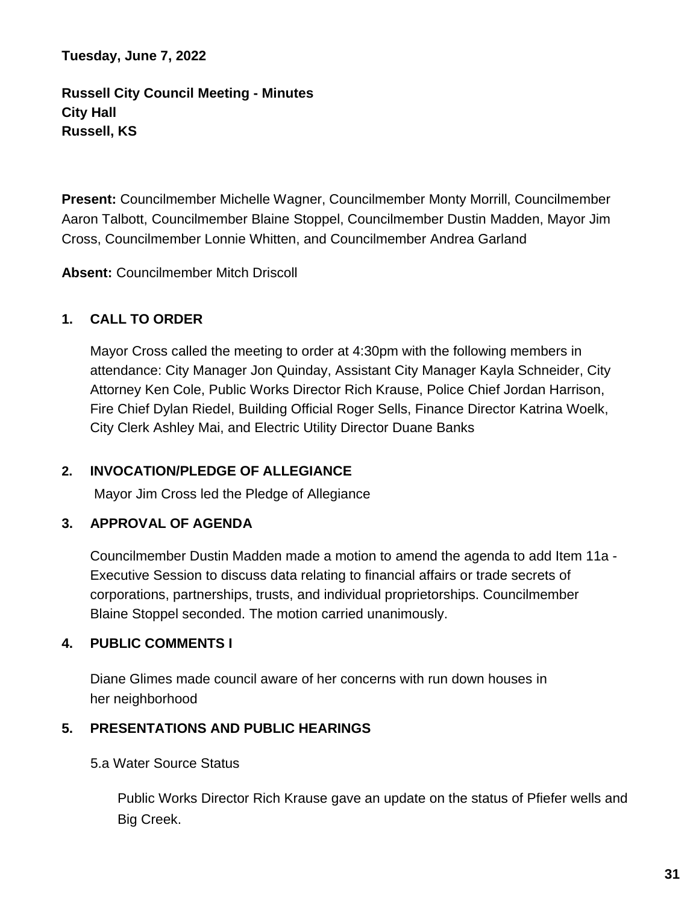**Tuesday, June 7, 2022**

**Russell City Council Meeting - Minutes City Hall Russell, KS**

**Present:** Councilmember Michelle Wagner, Councilmember Monty Morrill, Councilmember Aaron Talbott, Councilmember Blaine Stoppel, Councilmember Dustin Madden, Mayor Jim Cross, Councilmember Lonnie Whitten, and Councilmember Andrea Garland

**Absent:** Councilmember Mitch Driscoll

# **1. CALL TO ORDER**

Mayor Cross called the meeting to order at 4:30pm with the following members in attendance: City Manager Jon Quinday, Assistant City Manager Kayla Schneider, City Attorney Ken Cole, Public Works Director Rich Krause, Police Chief Jordan Harrison, Fire Chief Dylan Riedel, Building Official Roger Sells, Finance Director Katrina Woelk, City Clerk Ashley Mai, and Electric Utility Director Duane Banks

# **2. INVOCATION/PLEDGE OF ALLEGIANCE**

Mayor Jim Cross led the Pledge of Allegiance

# **3. APPROVAL OF AGENDA**

Councilmember Dustin Madden made a motion to amend the agenda to add Item 11a - Executive Session to discuss data relating to financial affairs or trade secrets of corporations, partnerships, trusts, and individual proprietorships. Councilmember Blaine Stoppel seconded. The motion carried unanimously.

## **4. PUBLIC COMMENTS I**

Diane Glimes made council aware of her concerns with run down houses in her neighborhood

# **5. PRESENTATIONS AND PUBLIC HEARINGS**

5.a Water Source Status

Public Works Director Rich Krause gave an update on the status of Pfiefer wells and Big Creek.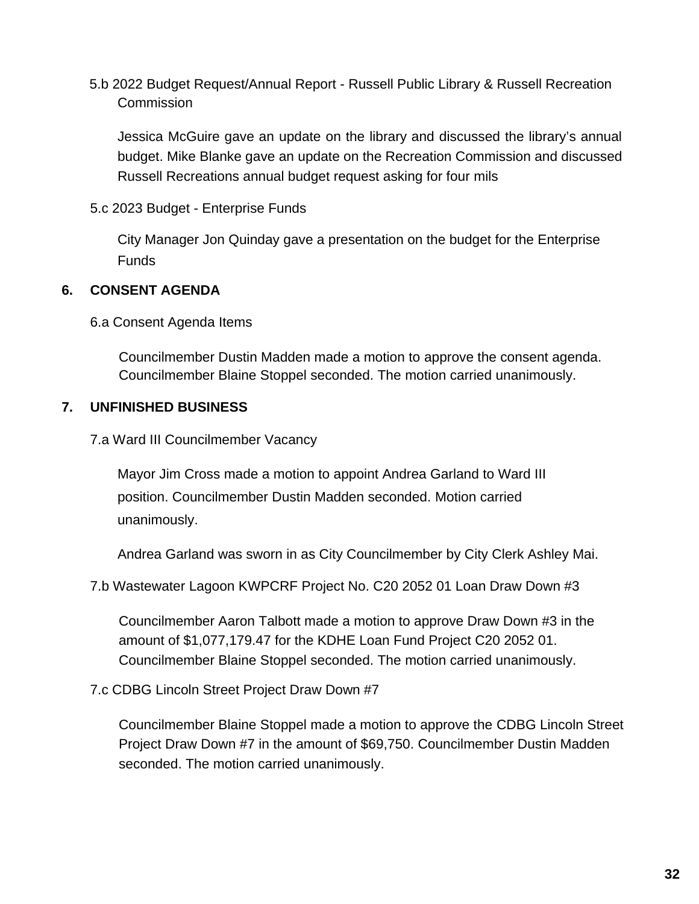5.b 2022 Budget Request/Annual Report - Russell Public Library & Russell Recreation **Commission** 

Jessica McGuire gave an update on the library and discussed the library's annual budget. Mike Blanke gave an update on the Recreation Commission and discussed Russell Recreations annual budget request asking for four mils

5.c 2023 Budget - Enterprise Funds

City Manager Jon Quinday gave a presentation on the budget for the Enterprise Funds

## **6. CONSENT AGENDA**

6.a Consent Agenda Items

Councilmember Dustin Madden made a motion to approve the consent agenda. Councilmember Blaine Stoppel seconded. The motion carried unanimously.

## **7. UNFINISHED BUSINESS**

7.a Ward III Councilmember Vacancy

Mayor Jim Cross made a motion to appoint Andrea Garland to Ward III position. Councilmember Dustin Madden seconded. Motion carried unanimously.

Andrea Garland was sworn in as City Councilmember by City Clerk Ashley Mai.

7.b Wastewater Lagoon KWPCRF Project No. C20 2052 01 Loan Draw Down #3

Councilmember Aaron Talbott made a motion to approve Draw Down #3 in the amount of \$1,077,179.47 for the KDHE Loan Fund Project C20 2052 01. Councilmember Blaine Stoppel seconded. The motion carried unanimously.

7.c CDBG Lincoln Street Project Draw Down #7

Councilmember Blaine Stoppel made a motion to approve the CDBG Lincoln Street Project Draw Down #7 in the amount of \$69,750. Councilmember Dustin Madden seconded. The motion carried unanimously.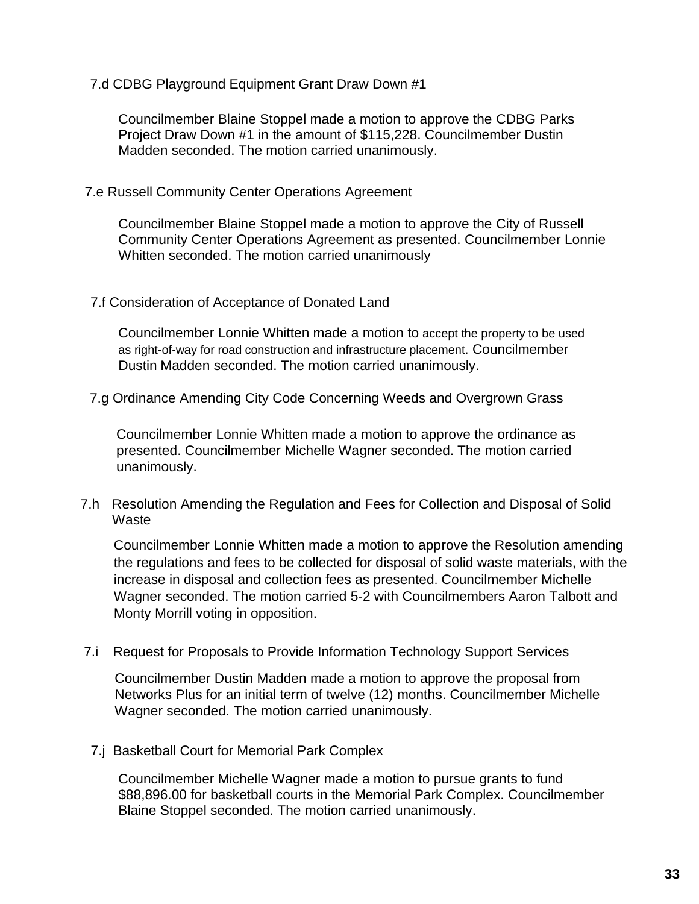7.d CDBG Playground Equipment Grant Draw Down #1

Councilmember Blaine Stoppel made a motion to approve the CDBG Parks Project Draw Down #1 in the amount of \$115,228. Councilmember Dustin Madden seconded. The motion carried unanimously.

7.e Russell Community Center Operations Agreement

Councilmember Blaine Stoppel made a motion to approve the City of Russell Community Center Operations Agreement as presented. Councilmember Lonnie Whitten seconded. The motion carried unanimously

### 7.f Consideration of Acceptance of Donated Land

Councilmember Lonnie Whitten made a motion to accept the property to be used as right-of-way for road construction and infrastructure placement. Councilmember Dustin Madden seconded. The motion carried unanimously.

7.g Ordinance Amending City Code Concerning Weeds and Overgrown Grass

Councilmember Lonnie Whitten made a motion to approve the ordinance as presented. Councilmember Michelle Wagner seconded. The motion carried unanimously.

7.h Resolution Amending the Regulation and Fees for Collection and Disposal of Solid **Waste** 

Councilmember Lonnie Whitten made a motion to approve the Resolution amending the regulations and fees to be collected for disposal of solid waste materials, with the increase in disposal and collection fees as presented. Councilmember Michelle Wagner seconded. The motion carried 5-2 with Councilmembers Aaron Talbott and Monty Morrill voting in opposition.

7.i Request for Proposals to Provide Information Technology Support Services

Councilmember Dustin Madden made a motion to approve the proposal from Networks Plus for an initial term of twelve (12) months. Councilmember Michelle Wagner seconded. The motion carried unanimously.

7.j Basketball Court for Memorial Park Complex

Councilmember Michelle Wagner made a motion to pursue grants to fund \$88,896.00 for basketball courts in the Memorial Park Complex. Councilmember Blaine Stoppel seconded. The motion carried unanimously.